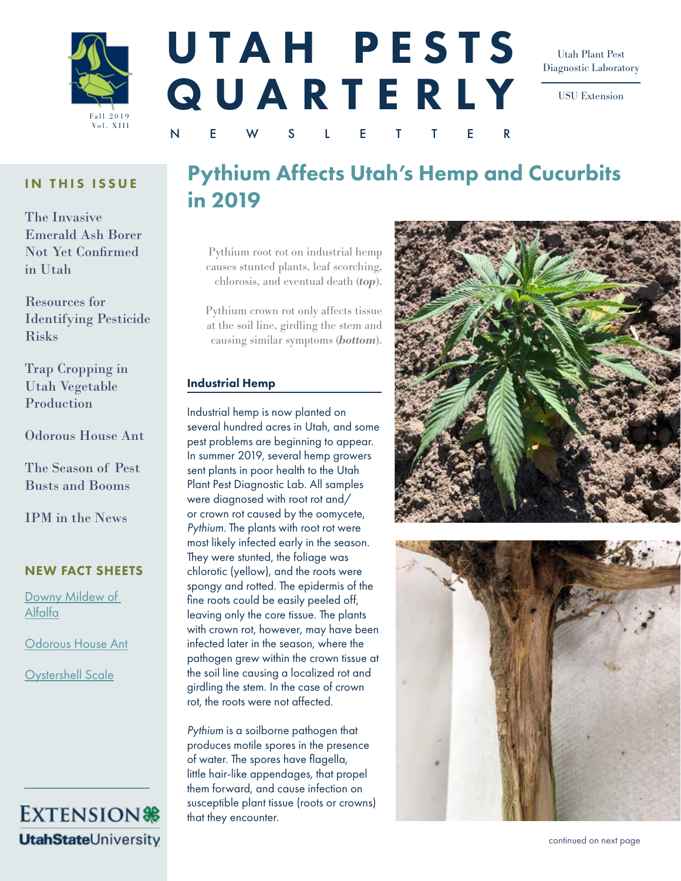

# UTAH PESTS QUARTE RLY

NEWSLETTER

Utah Plant Pest Diagnostic Laboratory

USU Extension

#### IN THIS ISSUE

The Invasive Emerald Ash Borer Not Yet Confirmed in Utah

Resources for Identifying Pesticide Risks

Trap Cropping in Utah Vegetable Production

Odorous House Ant

The Season of Pest Busts and Booms

IPM in the News

#### NEW FACT SHEETS

Downy Mildew of [Alfalfa](https://digitalcommons.usu.edu/cgi/viewcontent.cgi?article=3052&context=extension_curall)

[Odorous House Ant](https://digitalcommons.usu.edu/cgi/viewcontent.cgi?article=3049&context=extension_curall)

[Oystershell Scale](https://digitalcommons.usu.edu/cgi/viewcontent.cgi?article=2358&context=extension_curall)



### Pythium Affects Utah's Hemp and Cucurbits in 2019

Pythium root rot on industrial hemp causes stunted plants, leaf scorching, chlorosis, and eventual death (top).

Pythium crown rot only affects tissue at the soil line, girdling the stem and causing similar symptoms (bottom).

#### Industrial Hemp

Industrial hemp is now planted on several hundred acres in Utah, and some pest problems are beginning to appear. In summer 2019, several hemp growers sent plants in poor health to the Utah Plant Pest Diagnostic Lab. All samples were diagnosed with root rot and/ or crown rot caused by the oomycete, *Pythium*. The plants with root rot were most likely infected early in the season. They were stunted, the foliage was chlorotic (yellow), and the roots were spongy and rotted. The epidermis of the fine roots could be easily peeled off, leaving only the core tissue. The plants with crown rot, however, may have been infected later in the season, where the pathogen grew within the crown tissue at the soil line causing a localized rot and girdling the stem. In the case of crown rot, the roots were not affected.

*Pythium* is a soilborne pathogen that produces motile spores in the presence of water. The spores have flagella, little hair-like appendages, that propel them forward, and cause infection on susceptible plant tissue (roots or crowns) that they encounter.



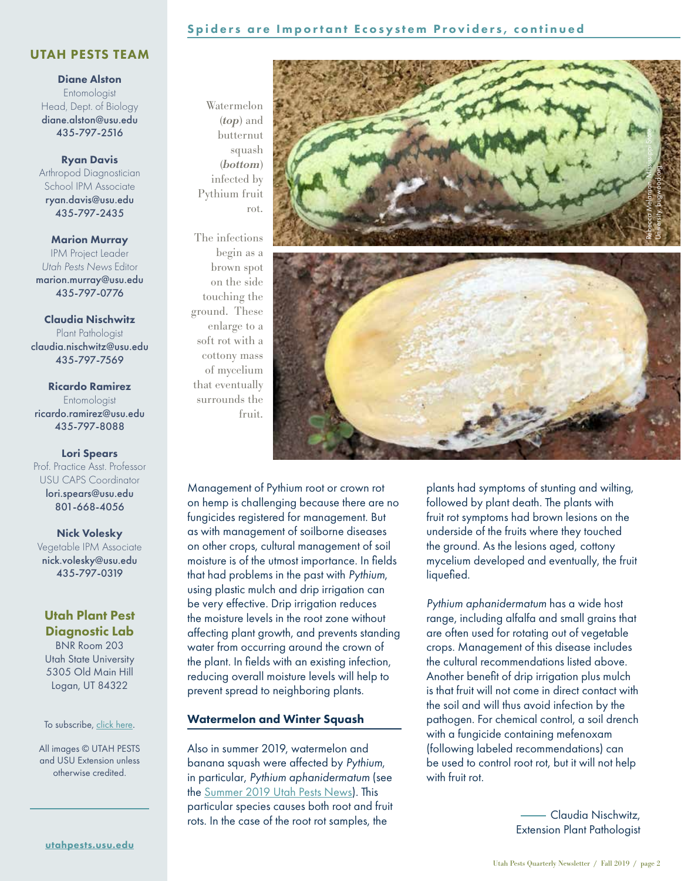#### UTAH PESTS TEAM

Diane Alston Entomologist Head, Dept. of Biology [diane.alston@usu.edu](mailto:diane.alston%40usu.edu?subject=) 435-797-2516

Ryan Davis Arthropod Diagnostician School IPM Associate [ryan.davis@usu.edu](mailto:ryan.davis%40usu.edu?subject=) 435-797-2435

Marion Murray IPM Project Leader *Utah Pests News* Editor [marion.murray@usu.edu](mailto:marion.murray%40usu.edu?subject=) 435-797-0776

Claudia Nischwitz Plant Pathologist [claudia.nischwitz@usu.edu](mailto:claudia.nischwitz%40usu.edu%0D?subject=) 435-797-7569

Ricardo Ramirez **Entomologist** [ricardo.ramirez@usu.edu](mailto:ricardo.ramirez%40usu.edu?subject=) 435-797-8088

#### Lori Spears

Prof. Practice Asst. Professor USU CAPS Coordinator [lori.spears@usu.edu](mailto:lori.spears%40usu.edu?subject=) 801-668-4056

Nick Volesky Vegetable IPM Associate nick.volesky@usu.edu 435-797-0319

#### Utah Plant Pest Diagnostic Lab

BNR Room 203 Utah State University 5305 Old Main Hill Logan, UT 84322

#### To subscribe, [click here](http://utahpests.usu.edu/ipm/subscriptions).

All images © UTAH PESTS and USU Extension unless otherwise credited.

#### Spiders are Important Ecosystem Providers, continued

Watermelon (top) and butternut squash (bottom) infected by Pythium fruit rot.

The infections begin as a brown spot on the side touching the ground. These enlarge to a soft rot with a cottony mass of mycelium that eventually surrounds the fruit.



Management of Pythium root or crown rot on hemp is challenging because there are no fungicides registered for management. But as with management of soilborne diseases on other crops, cultural management of soil moisture is of the utmost importance. In fields that had problems in the past with *Pythium*, using plastic mulch and drip irrigation can be very effective. Drip irrigation reduces the moisture levels in the root zone without affecting plant growth, and prevents standing water from occurring around the crown of the plant. In fields with an existing infection, reducing overall moisture levels will help to prevent spread to neighboring plants.

#### Watermelon and Winter Squash

Also in summer 2019, watermelon and banana squash were affected by *Pythium*, in particular, *Pythium aphanidermatum* (see the [Summer 2019 Utah Pests News\)](https://utahpests.usu.edu/files/up-newsletter/2019/UtahPestsNews-summer19-2.pdf). This particular species causes both root and fruit rots. In the case of the root rot samples, the

plants had symptoms of stunting and wilting, followed by plant death. The plants with fruit rot symptoms had brown lesions on the underside of the fruits where they touched the ground. As the lesions aged, cottony mycelium developed and eventually, the fruit liquefied.

*Pythium aphanidermatum* has a wide host range, including alfalfa and small grains that are often used for rotating out of vegetable crops. Management of this disease includes the cultural recommendations listed above. Another benefit of drip irrigation plus mulch is that fruit will not come in direct contact with the soil and will thus avoid infection by the pathogen. For chemical control, a soil drench with a fungicide containing mefenoxam (following labeled recommendations) can be used to control root rot, but it will not help with fruit rot.

> Claudia Nischwitz, Extension Plant Pathologist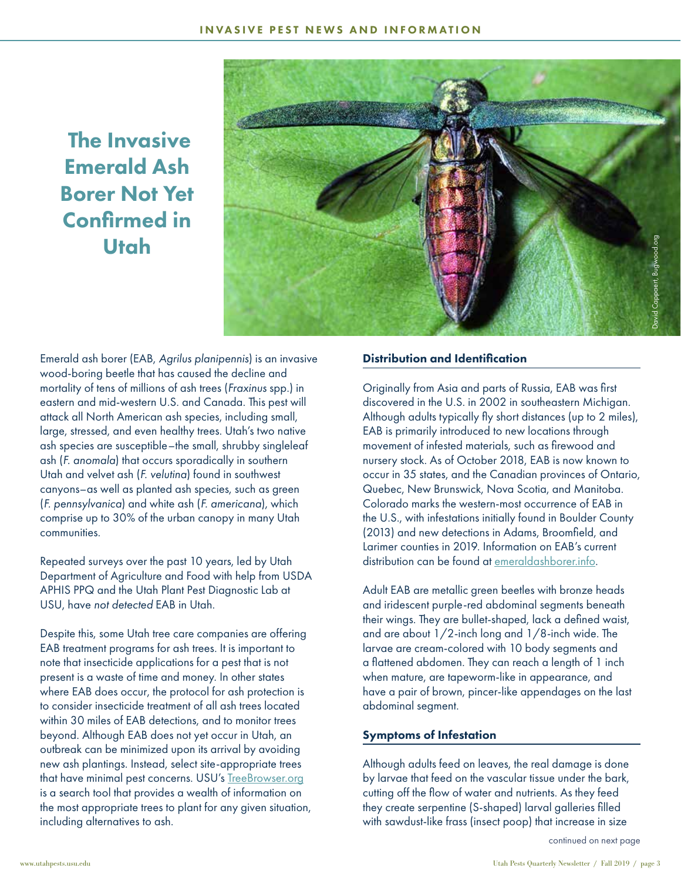The Invasive Emerald Ash Borer Not Yet Confirmed in Utah



Emerald ash borer (EAB, *Agrilus planipennis*) is an invasive wood-boring beetle that has caused the decline and mortality of tens of millions of ash trees (*Fraxinus* spp.) in eastern and mid-western U.S. and Canada. This pest will attack all North American ash species, including small, large, stressed, and even healthy trees. Utah's two native ash species are susceptible–the small, shrubby singleleaf ash (*F. anomala*) that occurs sporadically in southern Utah and velvet ash (*F. velutina*) found in southwest canyons–as well as planted ash species, such as green (*F. pennsylvanica*) and white ash (*F. americana*), which comprise up to 30% of the urban canopy in many Utah communities.

Repeated surveys over the past 10 years, led by Utah Department of Agriculture and Food with help from USDA APHIS PPQ and the Utah Plant Pest Diagnostic Lab at USU, have *not detected* EAB in Utah.

Despite this, some Utah tree care companies are offering EAB treatment programs for ash trees. It is important to note that insecticide applications for a pest that is not present is a waste of time and money. In other states where EAB does occur, the protocol for ash protection is to consider insecticide treatment of all ash trees located within 30 miles of EAB detections, and to monitor trees beyond. Although EAB does not yet occur in Utah, an outbreak can be minimized upon its arrival by avoiding new ash plantings. Instead, select site-appropriate trees that have minimal pest concerns. USU's [TreeBrowser.org](https://treebrowser.org/) is a search tool that provides a wealth of information on the most appropriate trees to plant for any given situation, including alternatives to ash.

#### Distribution and Identification

Originally from Asia and parts of Russia, EAB was first discovered in the U.S. in 2002 in southeastern Michigan. Although adults typically fly short distances (up to 2 miles), EAB is primarily introduced to new locations through movement of infested materials, such as firewood and nursery stock. As of October 2018, EAB is now known to occur in 35 states, and the Canadian provinces of Ontario, Quebec, New Brunswick, Nova Scotia, and Manitoba. Colorado marks the western-most occurrence of EAB in the U.S., with infestations initially found in Boulder County (2013) and new detections in Adams, Broomfield, and Larimer counties in 2019. Information on EAB's current distribution can be found at [emeraldashborer.info.](http://www.emeraldashborer.info/)

Adult EAB are metallic green beetles with bronze heads and iridescent purple-red abdominal segments beneath their wings. They are bullet-shaped, lack a defined waist, and are about 1/2-inch long and 1/8-inch wide. The larvae are cream-colored with 10 body segments and a flattened abdomen. They can reach a length of 1 inch when mature, are tapeworm-like in appearance, and have a pair of brown, pincer-like appendages on the last abdominal segment.

#### Symptoms of Infestation

Although adults feed on leaves, the real damage is done by larvae that feed on the vascular tissue under the bark, cutting off the flow of water and nutrients. As they feed they create serpentine (S-shaped) larval galleries filled with sawdust-like frass (insect poop) that increase in size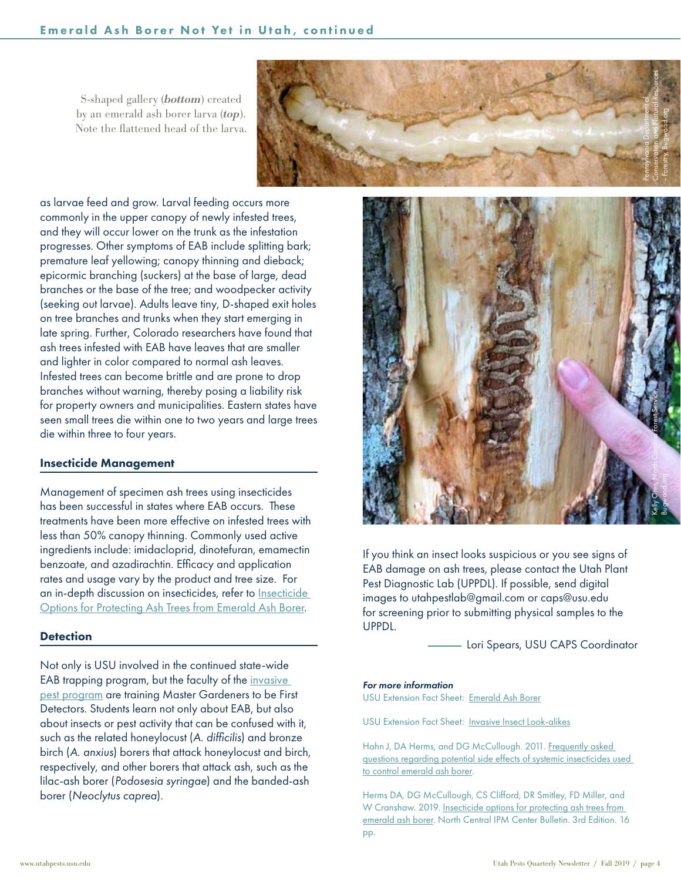S-shaped gallery (bottom) created by an emerald ash borer larva (top). Note the flattened head of the larva.



as larvae feed and grow. Larval feeding occurs more commonly in the upper canopy of newly infested trees, and they will occur lower on the trunk as the infestation progresses. Other symptoms of EAB include splitting bark; premature leaf yellowing; canopy thinning and dieback; epicormic branching (suckers) at the base of large, dead branches or the base of the tree; and woodpecker activity (seeking out larvae). Adults leave tiny, D-shaped exit holes on tree branches and trunks when they start emerging in late spring. Further, Colorado researchers have found that ash trees infested with EAB have leaves that are smaller and lighter in color compared to normal ash leaves. Infested trees can become brittle and are prone to drop branches without warning, thereby posing a liability risk for property owners and municipalities. Eastern states have seen small trees die within one to two years and large trees die within three to four years.

#### Insecticide Management

Management of specimen ash trees using insecticides has been successful in states where EAB occurs. These treatments have been more effective on infested trees with less than 50% canopy thinning. Commonly used active ingredients include: imidacloprid, dinotefuran, emamectin benzoate, and azadirachtin. Efficacy and application rates and usage vary by the product and tree size. For an in-depth discussion on insecticides, refer to [Insecticide](http://www.emeraldashborer.info/documents/Multistate_EAB_Insecticide_Fact_Sheet.pdf)  [Options for Protecting Ash Trees from Emerald Ash Borer.](http://www.emeraldashborer.info/documents/Multistate_EAB_Insecticide_Fact_Sheet.pdf)

#### **Detection**

Not only is USU involved in the continued state-wide EAB trapping program, but the faculty of the [invasive](https://utahpests.usu.edu/caps/featured-pests)  [pest program](https://utahpests.usu.edu/caps/featured-pests) are training Master Gardeners to be First Detectors. Students learn not only about EAB, but also about insects or pest activity that can be confused with it, such as the related honeylocust (*A. difficilis*) and bronze birch (*A. anxius*) borers that attack honeylocust and birch, respectively, and other borers that attack ash, such as the lilac-ash borer (*Podosesia syringae*) and the banded-ash borer (*Neoclytus caprea*).



If you think an insect looks suspicious or you see signs of EAB damage on ash trees, please contact the Utah Plant Pest Diagnostic Lab (UPPDL). If possible, send digital images to utahpestlab@gmail.com or caps@usu.edu for screening prior to submitting physical samples to the UPPDL.

Lori Spears, USU CAPS Coordinator

#### *For more information*

USU Extension Fact Sheet: [Emerald Ash Borer](https://digitalcommons.usu.edu/cgi/viewcontent.cgi?referer=&httpsredir=1&article=1896&context=extension_curall)

USU Extension Fact Sheet: [Invasive Insect Look-alikes](https://digitalcommons.usu.edu/cgi/viewcontent.cgi?referer=&httpsredir=1&article=1771&context=extension_curall)

Hahn J, DA Herms, and DG McCullough. 2011. Frequently asked [questions regarding potential side effects of systemic insecticides used](http://www.emeraldashborer.info/documents/Potential_Side_Effects_of_EAB_Insecticides_FAQ.pdf)  [to control emerald ash borer](http://www.emeraldashborer.info/documents/Potential_Side_Effects_of_EAB_Insecticides_FAQ.pdf).

Herms DA, DG McCullough, CS Clifford, DR Smitley, FD Miller, and W Cranshaw. 2019. Insecticide options for protecting ash trees from emerald ash borer. North Central IPM Center Bulletin. 3rd Edition. 16 pp.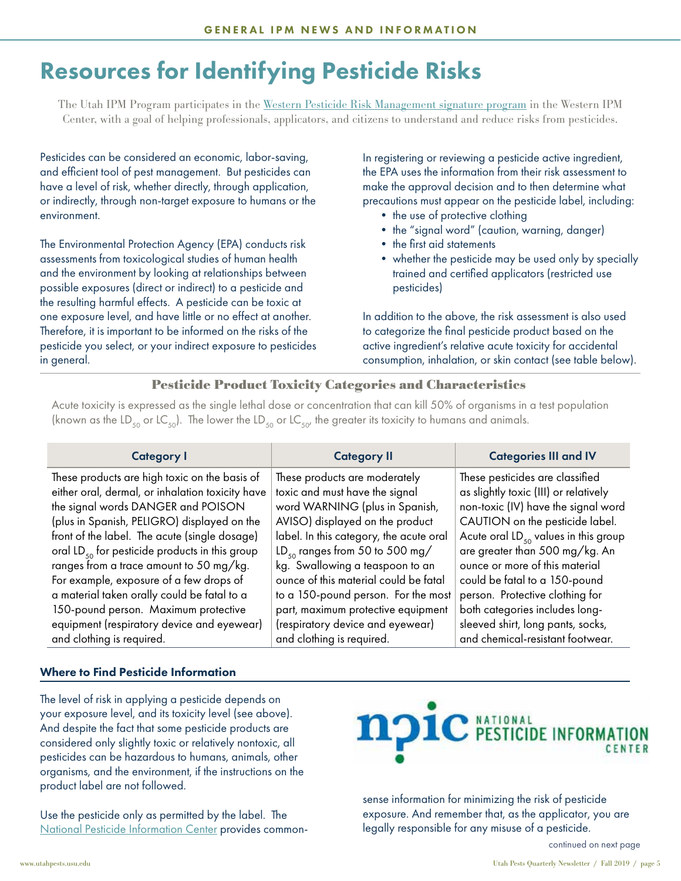# Resources for Identifying Pesticide Risks

The Utah IPM Program participates in the [Western Pesticide Risk Management signature program](http://westernipm.org/index.cfm/center-projects/signature-programs/pesticide-risk-management/) in the Western IPM Center, with a goal of helping professionals, applicators, and citizens to understand and reduce risks from pesticides.

Pesticides can be considered an economic, labor-saving, and efficient tool of pest management. But pesticides can have a level of risk, whether directly, through application, or indirectly, through non-target exposure to humans or the environment.

The Environmental Protection Agency (EPA) conducts risk assessments from toxicological studies of human health and the environment by looking at relationships between possible exposures (direct or indirect) to a pesticide and the resulting harmful effects. A pesticide can be toxic at one exposure level, and have little or no effect at another. Therefore, it is important to be informed on the risks of the pesticide you select, or your indirect exposure to pesticides in general.

In registering or reviewing a pesticide active ingredient, the EPA uses the information from their risk assessment to make the approval decision and to then determine what precautions must appear on the pesticide label, including:

- the use of protective clothing
- the "signal word" (caution, warning, danger)
- the first aid statements
- whether the pesticide may be used only by specially trained and certified applicators (restricted use pesticides)

In addition to the above, the risk assessment is also used to categorize the final pesticide product based on the active ingredient's relative acute toxicity for accidental consumption, inhalation, or skin contact (see table below).

#### Pesticide Product Toxicity Categories and Characteristics

Acute toxicity is expressed as the single lethal dose or concentration that can kill 50% of organisms in a test population (known as the LD<sub>50</sub> or LC<sub>50</sub>). The lower the LD<sub>50</sub> or LC<sub>50</sub>, the greater its toxicity to humans and animals.

| <b>Category I</b>                                          | <b>Category II</b>                         | <b>Categories III and IV</b>              |
|------------------------------------------------------------|--------------------------------------------|-------------------------------------------|
| These products are high toxic on the basis of              | These products are moderately              | These pesticides are classified           |
| either oral, dermal, or inhalation toxicity have           | toxic and must have the signal             | as slightly toxic (III) or relatively     |
| the signal words DANGER and POISON                         | word WARNING (plus in Spanish,             | non-toxic (IV) have the signal word       |
| (plus in Spanish, PELIGRO) displayed on the                | AVISO) displayed on the product            | CAUTION on the pesticide label.           |
| front of the label. The acute (single dosage)              | label. In this category, the acute oral    | Acute oral $LD_{50}$ values in this group |
| oral LD <sub>50</sub> for pesticide products in this group | LD <sub>50</sub> ranges from 50 to 500 mg/ | are greater than 500 mg/kg. An            |
| ranges from a trace amount to 50 mg/kg.                    | kg. Swallowing a teaspoon to an            | ounce or more of this material            |
| For example, exposure of a few drops of                    | ounce of this material could be fatal      | could be fatal to a 150-pound             |
| a material taken orally could be fatal to a                | to a 150-pound person. For the most        | person. Protective clothing for           |
| 150-pound person. Maximum protective                       | part, maximum protective equipment         | both categories includes long-            |
| equipment (respiratory device and eyewear)                 | (respiratory device and eyewear)           | sleeved shirt, long pants, socks,         |
| and clothing is required.                                  | and clothing is required.                  | and chemical-resistant footwear.          |

#### Where to Find Pesticide Information

The level of risk in applying a pesticide depends on your exposure level, and its toxicity level (see above). And despite the fact that some pesticide products are considered only slightly toxic or relatively nontoxic, all pesticides can be hazardous to humans, animals, other organisms, and the environment, if the instructions on the product label are not followed.

Use the pesticide only as permitted by the label. The [National Pesticide Information Center](http://npic.orst.edu/) provides common-



sense information for minimizing the risk of pesticide exposure. And remember that, as the applicator, you are legally responsible for any misuse of a pesticide.

continued on next page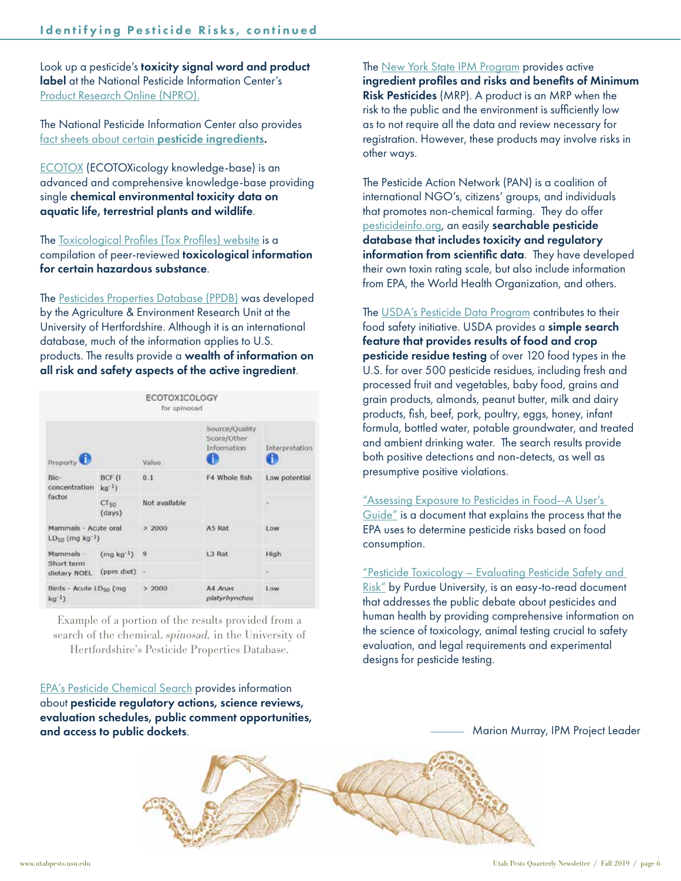Look up a pesticide's toxicity signal word and product label at the National Pesticide Information Center's [Product Research Online \(NPRO\)](http://npic.orst.edu/NPRO/#guideTab).

The National Pesticide Information Center also provides [fact sheets about certain](http://npic.orst.edu/ingred/specchem.html) pesticide ingredients.

[ECOTOX](https://cfpub.epa.gov/ecotox/) (ECOTOXicology knowledge-base) is an advanced and comprehensive knowledge-base providing single chemical environmental toxicity data on aquatic life, terrestrial plants and wildlife.

The [Toxicological Profiles \(Tox Profiles\) website](https://www.atsdr.cdc.gov/toxprofiledocs/index.html) is a compilation of peer-reviewed toxicological information for certain hazardous substance.

The [Pesticides Properties Database \(PPDB\)](http://sitem.herts.ac.uk/aeru/iupac/search.htm) was developed by the Agriculture & Environment Research Unit at the University of Hertfordshire. Although it is an international database, much of the information applies to U.S. products. The results provide a wealth of information on all risk and safety aspects of the active ingredient.

|                                                          |                            | ECOTOXICOLOGY<br>for spinosad |                                              |                |
|----------------------------------------------------------|----------------------------|-------------------------------|----------------------------------------------|----------------|
| Property                                                 |                            | Value:                        | Source/Quality<br>Score/Other<br>Information | Interpretation |
| Bio-<br>concentration<br>factor                          | BCF (I<br>$kq^{-1}$ )      | 0.1                           | F4 Whole fish                                | Low potential  |
|                                                          | CT <sub>50</sub><br>(days) | Not available                 |                                              |                |
| Mammals - Acute oral<br>$LD_{50}$ (mg kg <sup>-1</sup> ) |                            | > 2000                        | A5 Rat                                       | Low            |
| Mammals -<br>Short term<br>dietary NOEL                  | $(mq kq^{-1})$ 9           |                               | L3 Rot                                       | High           |
|                                                          | (ppm diet) -               |                               |                                              | ÷              |
| Birds - Acute LDso (mg<br>$kq^{-1}$                      |                            | >2000                         | A4 Anas<br>platyrhynchos                     | Low            |

Example of a portion of the results provided from a search of the chemical, spinosad, in the University of Hertfordshire's Pesticide Properties Database.

[EPA's Pesticide Chemical Search](https://iaspub.epa.gov/apex/pesticides/f?p=CHEMICALSEARCH:1) provides information about pesticide regulatory actions, science reviews, evaluation schedules, public comment opportunities, and access to public dockets.

The [New York State IPM Program](https://nysipm.cornell.edu/environment/active-ingredients-eligible-minimum-risk-pesticide-use/) provides active ingredient profiles and risks and benefits of Minimum Risk Pesticides (MRP). A product is an MRP when the risk to the public and the environment is sufficiently low as to not require all the data and review necessary for registration. However, these products may involve risks in other ways.

The Pesticide Action Network (PAN) is a coalition of international NGO's, citizens' groups, and individuals that promotes non-chemical farming. They do offer [pesticideinfo.org,](http://www.pesticideinfo.org/) an easily searchable pesticide database that includes toxicity and regulatory information from scientific data. They have developed their own toxin rating scale, but also include information from EPA, the World Health Organization, and others.

The [USDA's Pesticide Data Program](https://apps.ams.usda.gov/PDP) contributes to their food safety initiative. USDA provides a simple search feature that provides results of food and crop pesticide residue testing of over 120 food types in the U.S. for over 500 pesticide residues, including fresh and processed fruit and vegetables, baby food, grains and grain products, almonds, peanut butter, milk and dairy products, fish, beef, pork, poultry, eggs, honey, infant formula, bottled water, potable groundwater, and treated and ambient drinking water. The search results provide both positive detections and non-detects, as well as presumptive positive violations.

["Assessing Exposure to Pesticides in Food--A User's](https://www.regulations.gov/document?D=EPA-HQ-OPP-2007-0780-0001)  [Guide"](https://www.regulations.gov/document?D=EPA-HQ-OPP-2007-0780-0001) is a document that explains the process that the EPA uses to determine pesticide risks based on food consumption.

["Pesticide Toxicology – Evaluating Pesticide Safety and](https://www.extension.purdue.edu/extmedia/PPP/PPP-40.pdf)  [Risk"](https://www.extension.purdue.edu/extmedia/PPP/PPP-40.pdf) by Purdue University, is an easy-to-read document that addresses the public debate about pesticides and human health by providing comprehensive information on the science of toxicology, animal testing crucial to safety evaluation, and legal requirements and experimental designs for pesticide testing.

Marion Murray, IPM Project Leader

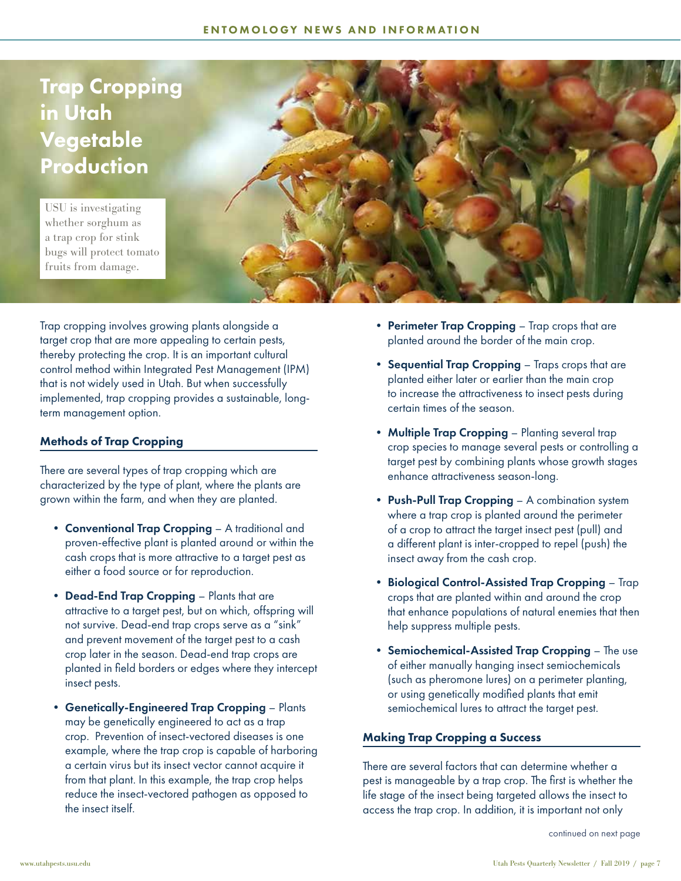### Trap Cropping in Utah Vegetable Production

USU is investigating whether sorghum as a trap crop for stink bugs will protect tomato fruits from damage.



Trap cropping involves growing plants alongside a target crop that are more appealing to certain pests, thereby protecting the crop. It is an important cultural control method within Integrated Pest Management (IPM) that is not widely used in Utah. But when successfully implemented, trap cropping provides a sustainable, longterm management option.

#### Methods of Trap Cropping

There are several types of trap cropping which are characterized by the type of plant, where the plants are grown within the farm, and when they are planted.

- Conventional Trap Cropping A traditional and proven-effective plant is planted around or within the cash crops that is more attractive to a target pest as either a food source or for reproduction.
- Dead-End Trap Cropping Plants that are attractive to a target pest, but on which, offspring will not survive. Dead-end trap crops serve as a "sink" and prevent movement of the target pest to a cash crop later in the season. Dead-end trap crops are planted in field borders or edges where they intercept insect pests.
- Genetically-Engineered Trap Cropping Plants may be genetically engineered to act as a trap crop. Prevention of insect-vectored diseases is one example, where the trap crop is capable of harboring a certain virus but its insect vector cannot acquire it from that plant. In this example, the trap crop helps reduce the insect-vectored pathogen as opposed to the insect itself.
- Perimeter Trap Cropping Trap crops that are planted around the border of the main crop.
- Sequential Trap Cropping Traps crops that are planted either later or earlier than the main crop to increase the attractiveness to insect pests during certain times of the season.
- Multiple Trap Cropping Planting several trap crop species to manage several pests or controlling a target pest by combining plants whose growth stages enhance attractiveness season-long.
- Push-Pull Trap Cropping A combination system where a trap crop is planted around the perimeter of a crop to attract the target insect pest (pull) and a different plant is inter-cropped to repel (push) the insect away from the cash crop.
- Biological Control-Assisted Trap Cropping Trap crops that are planted within and around the crop that enhance populations of natural enemies that then help suppress multiple pests.
- Semiochemical-Assisted Trap Cropping The use of either manually hanging insect semiochemicals (such as pheromone lures) on a perimeter planting, or using genetically modified plants that emit semiochemical lures to attract the target pest.

#### Making Trap Cropping a Success

There are several factors that can determine whether a pest is manageable by a trap crop. The first is whether the life stage of the insect being targeted allows the insect to access the trap crop. In addition, it is important not only

continued on next page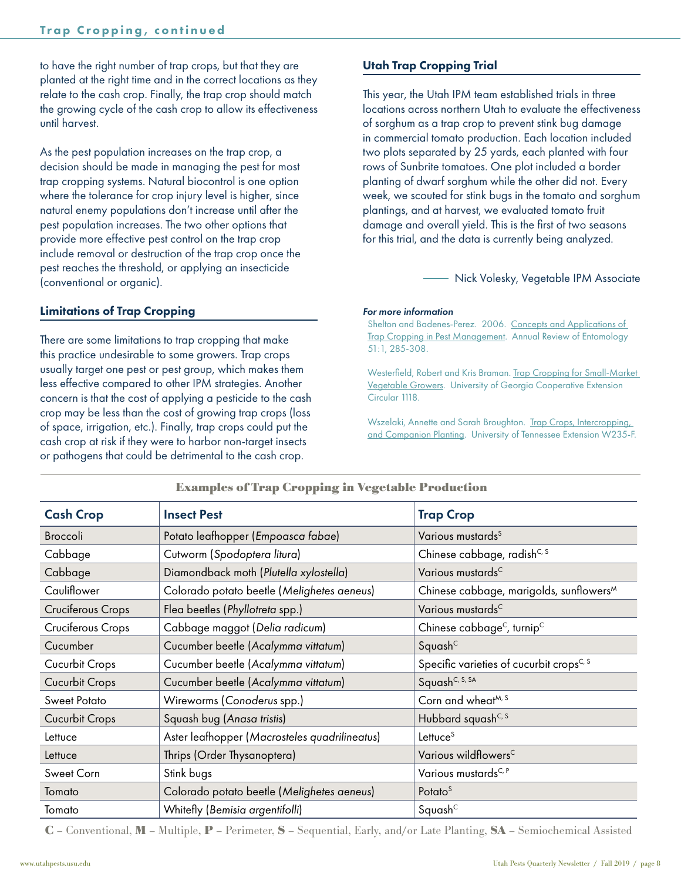to have the right number of trap crops, but that they are planted at the right time and in the correct locations as they relate to the cash crop. Finally, the trap crop should match the growing cycle of the cash crop to allow its effectiveness until harvest.

As the pest population increases on the trap crop, a decision should be made in managing the pest for most trap cropping systems. Natural biocontrol is one option where the tolerance for crop injury level is higher, since natural enemy populations don't increase until after the pest population increases. The two other options that provide more effective pest control on the trap crop include removal or destruction of the trap crop once the pest reaches the threshold, or applying an insecticide (conventional or organic).

#### Limitations of Trap Cropping

There are some limitations to trap cropping that make this practice undesirable to some growers. Trap crops usually target one pest or pest group, which makes them less effective compared to other IPM strategies. Another concern is that the cost of applying a pesticide to the cash crop may be less than the cost of growing trap crops (loss of space, irrigation, etc.). Finally, trap crops could put the cash crop at risk if they were to harbor non-target insects or pathogens that could be detrimental to the cash crop.

#### Utah Trap Cropping Trial

This year, the Utah IPM team established trials in three locations across northern Utah to evaluate the effectiveness of sorghum as a trap crop to prevent stink bug damage in commercial tomato production. Each location included two plots separated by 25 yards, each planted with four rows of Sunbrite tomatoes. One plot included a border planting of dwarf sorghum while the other did not. Every week, we scouted for stink bugs in the tomato and sorghum plantings, and at harvest, we evaluated tomato fruit damage and overall yield. This is the first of two seasons for this trial, and the data is currently being analyzed.

#### Nick Volesky, Vegetable IPM Associate

#### *For more information*

Shelton and Badenes-Perez. 2006. Concepts and Applications of [Trap Cropping in Pest Management](https://www.annualreviews.org/doi/full/10.1146/annurev.ento.51.110104.150959). Annual Review of Entomology 51:1, 285-308.

Westerfield, Robert and Kris Braman. [Trap Cropping for Small-Market](https://secure.caes.uga.edu/extension/publications/files/pdf/C%201118_1.PDF)  [Vegetable Growers.](https://secure.caes.uga.edu/extension/publications/files/pdf/C%201118_1.PDF) University of Georgia Cooperative Extension Circular 1118.

Wszelaki, Annette and Sarah Broughton. [Trap Crops, Intercropping,](https://extension.tennessee.edu/publications/Documents/W235-F.pdf)  [and Companion Planting.](https://extension.tennessee.edu/publications/Documents/W235-F.pdf) University of Tennessee Extension W235-F.

| <b>Cash Crop</b>    | <b>Insect Pest</b>                            | <b>Trap Crop</b>                                     |  |  |
|---------------------|-----------------------------------------------|------------------------------------------------------|--|--|
| <b>Broccoli</b>     | Potato leafhopper (Empoasca fabae)            | Various mustards <sup>S</sup>                        |  |  |
| Cabbage             | Cutworm (Spodoptera litura)                   | Chinese cabbage, radish <sup>C, S</sup>              |  |  |
| Cabbage             | Diamondback moth (Plutella xylostella)        | Various mustards <sup>C</sup>                        |  |  |
| Cauliflower         | Colorado potato beetle (Melighetes aeneus)    | Chinese cabbage, marigolds, sunflowers <sup>M</sup>  |  |  |
| Cruciferous Crops   | Flea beetles (Phyllotreta spp.)               | Various mustards <sup>C</sup>                        |  |  |
| Cruciferous Crops   | Cabbage maggot (Delia radicum)                | Chinese cabbage <sup>C</sup> , turnip <sup>C</sup>   |  |  |
| Cucumber            | Cucumber beetle (Acalymma vittatum)           | Squash <sup>c</sup>                                  |  |  |
| Cucurbit Crops      | Cucumber beetle (Acalymma vittatum)           | Specific varieties of cucurbit crops <sup>C, S</sup> |  |  |
| Cucurbit Crops      | Cucumber beetle (Acalymma vittatum)           | Squash <sup>C, S, SA</sup>                           |  |  |
| <b>Sweet Potato</b> | Wireworms (Conoderus spp.)                    | Corn and wheat <sup>M, S</sup>                       |  |  |
| Cucurbit Crops      | Squash bug (Anasa tristis)                    | Hubbard squash <sup>C, S</sup>                       |  |  |
| Lettuce             | Aster leafhopper (Macrosteles quadrilineatus) | Lettuce $s$                                          |  |  |
| Lettuce             | Thrips (Order Thysanoptera)                   | Various wildflowers <sup>C</sup>                     |  |  |
| Sweet Corn          | Stink bugs                                    | Various mustards <sup>C, P</sup>                     |  |  |
| Tomato              | Colorado potato beetle (Melighetes aeneus)    | Potato <sup>S</sup>                                  |  |  |
| Tomato              | Whitefly (Bemisia argentifolli)               | Squash <sup>c</sup>                                  |  |  |

Examples of Trap Cropping in Vegetable Production

C – Conventional, M – Multiple, P – Perimeter, S – Sequential, Early, and/or Late Planting, SA – Semiochemical Assisted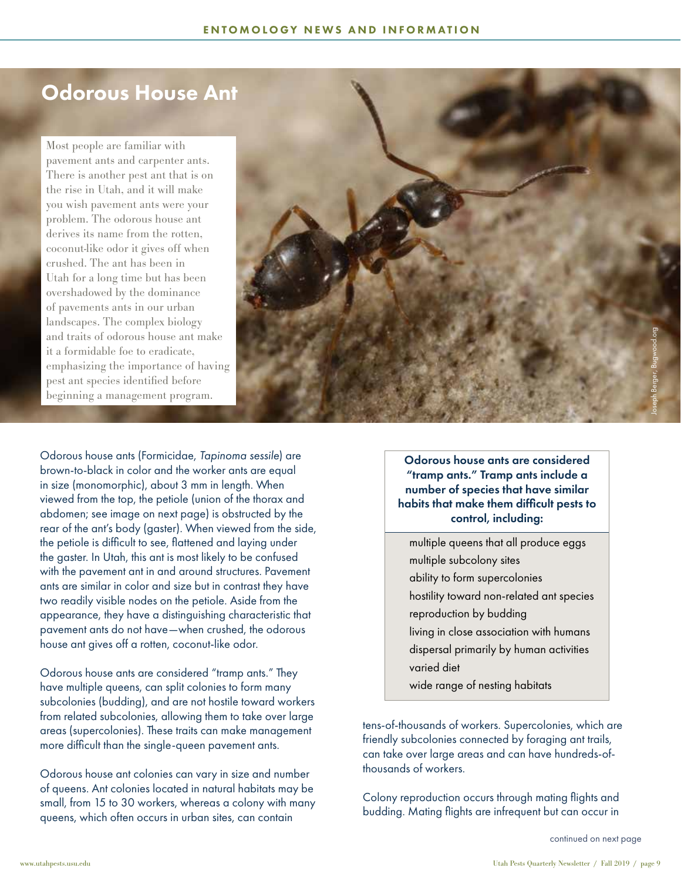### Odorous House Ant

Most people are familiar with pavement ants and carpenter ants. There is another pest ant that is on the rise in Utah, and it will make you wish pavement ants were your problem. The odorous house ant derives its name from the rotten, coconut-like odor it gives off when crushed. The ant has been in Utah for a long time but has been overshadowed by the dominance of pavements ants in our urban landscapes. The complex biology and traits of odorous house ant make it a formidable foe to eradicate, emphasizing the importance of having pest ant species identified before beginning a management program.



Odorous house ants (Formicidae, *Tapinoma sessile*) are brown-to-black in color and the worker ants are equal in size (monomorphic), about 3 mm in length. When viewed from the top, the petiole (union of the thorax and abdomen; see image on next page) is obstructed by the rear of the ant's body (gaster). When viewed from the side, the petiole is difficult to see, flattened and laying under the gaster. In Utah, this ant is most likely to be confused with the pavement ant in and around structures. Pavement ants are similar in color and size but in contrast they have two readily visible nodes on the petiole. Aside from the appearance, they have a distinguishing characteristic that pavement ants do not have—when crushed, the odorous house ant gives off a rotten, coconut-like odor.

Odorous house ants are considered "tramp ants." They have multiple queens, can split colonies to form many subcolonies (budding), and are not hostile toward workers from related subcolonies, allowing them to take over large areas (supercolonies). These traits can make management more difficult than the single-queen pavement ants.

Odorous house ant colonies can vary in size and number of queens. Ant colonies located in natural habitats may be small, from 15 to 30 workers, whereas a colony with many queens, which often occurs in urban sites, can contain

Odorous house ants are considered "tramp ants." Tramp ants include a number of species that have similar habits that make them difficult pests to control, including:

multiple queens that all produce eggs multiple subcolony sites ability to form supercolonies hostility toward non-related ant species reproduction by budding living in close association with humans dispersal primarily by human activities varied diet wide range of nesting habitats

tens-of-thousands of workers. Supercolonies, which are friendly subcolonies connected by foraging ant trails, can take over large areas and can have hundreds-ofthousands of workers.

Colony reproduction occurs through mating flights and budding. Mating flights are infrequent but can occur in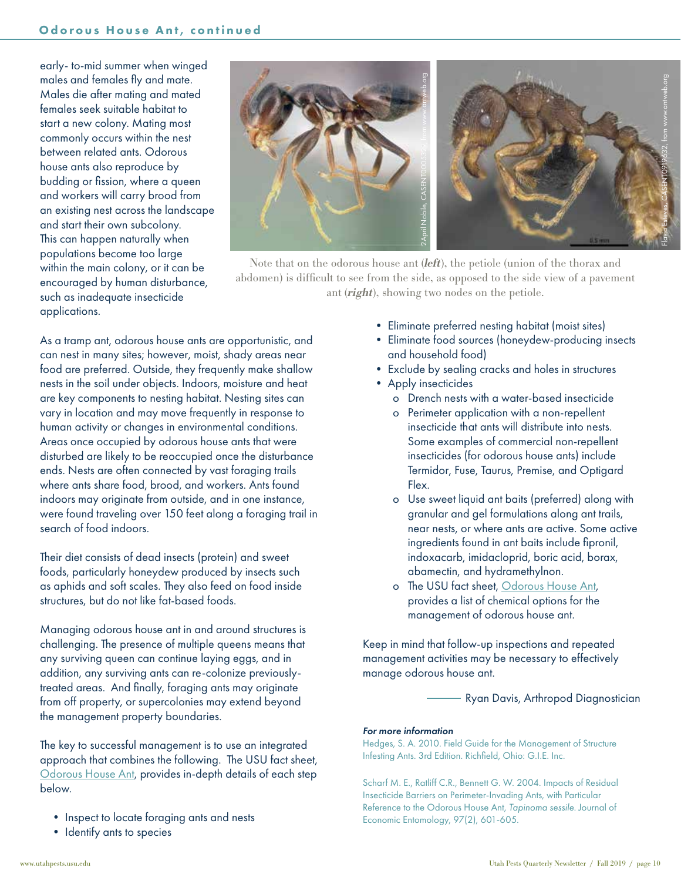#### Odorous House Ant, continued

early- to-mid summer when winged males and females fly and mate. Males die after mating and mated females seek suitable habitat to start a new colony. Mating most commonly occurs within the nest between related ants. Odorous house ants also reproduce by budding or fission, where a queen and workers will carry brood from an existing nest across the landscape and start their own subcolony. This can happen naturally when populations become too large within the main colony, or it can be encouraged by human disturbance, such as inadequate insecticide applications.



Note that on the odorous house ant (*left*), the petiole (union of the thorax and abdomen) is difficult to see from the side, as opposed to the side view of a pavement

As a tramp ant, odorous house ants are opportunistic, and can nest in many sites; however, moist, shady areas near food are preferred. Outside, they frequently make shallow nests in the soil under objects. Indoors, moisture and heat are key components to nesting habitat. Nesting sites can vary in location and may move frequently in response to human activity or changes in environmental conditions. Areas once occupied by odorous house ants that were disturbed are likely to be reoccupied once the disturbance ends. Nests are often connected by vast foraging trails where ants share food, brood, and workers. Ants found indoors may originate from outside, and in one instance, were found traveling over 150 feet along a foraging trail in search of food indoors.

Their diet consists of dead insects (protein) and sweet foods, particularly honeydew produced by insects such as aphids and soft scales. They also feed on food inside structures, but do not like fat-based foods.

Managing odorous house ant in and around structures is challenging. The presence of multiple queens means that any surviving queen can continue laying eggs, and in addition, any surviving ants can re-colonize previouslytreated areas. And finally, foraging ants may originate from off property, or supercolonies may extend beyond the management property boundaries.

The key to successful management is to use an integrated approach that combines the following. The USU fact sheet, [Odorous House Ant,](https://digitalcommons.usu.edu/cgi/viewcontent.cgi?article=3049&context=extension_curall) provides in-depth details of each step below.

- Inspect to locate foraging ants and nests
- Identify ants to species
- Eliminate preferred nesting habitat (moist sites)
- Eliminate food sources (honeydew-producing insects and household food)
- Exclude by sealing cracks and holes in structures
- Apply insecticides
	- o Drench nests with a water-based insecticide
	- o Perimeter application with a non-repellent insecticide that ants will distribute into nests. Some examples of commercial non-repellent insecticides (for odorous house ants) include Termidor, Fuse, Taurus, Premise, and Optigard Flex.
	- o Use sweet liquid ant baits (preferred) along with granular and gel formulations along ant trails, near nests, or where ants are active. Some active ingredients found in ant baits include fipronil, indoxacarb, imidacloprid, boric acid, borax, abamectin, and hydramethylnon.
	- o The USU fact sheet, [Odorous House Ant,](https://digitalcommons.usu.edu/cgi/viewcontent.cgi?article=3049&context=extension_curall) provides a list of chemical options for the management of odorous house ant.

Keep in mind that follow-up inspections and repeated management activities may be necessary to effectively manage odorous house ant.

Ryan Davis, Arthropod Diagnostician

#### *For more information*

Hedges, S. A. 2010. Field Guide for the Management of Structure Infesting Ants. 3rd Edition. Richfield, Ohio: G.I.E. Inc.

Scharf M. E., Ratliff C.R., Bennett G. W. 2004. Impacts of Residual Insecticide Barriers on Perimeter-Invading Ants, with Particular Reference to the Odorous House Ant, *Tapinoma sessile*. Journal of Economic Entomology, 97(2), 601-605.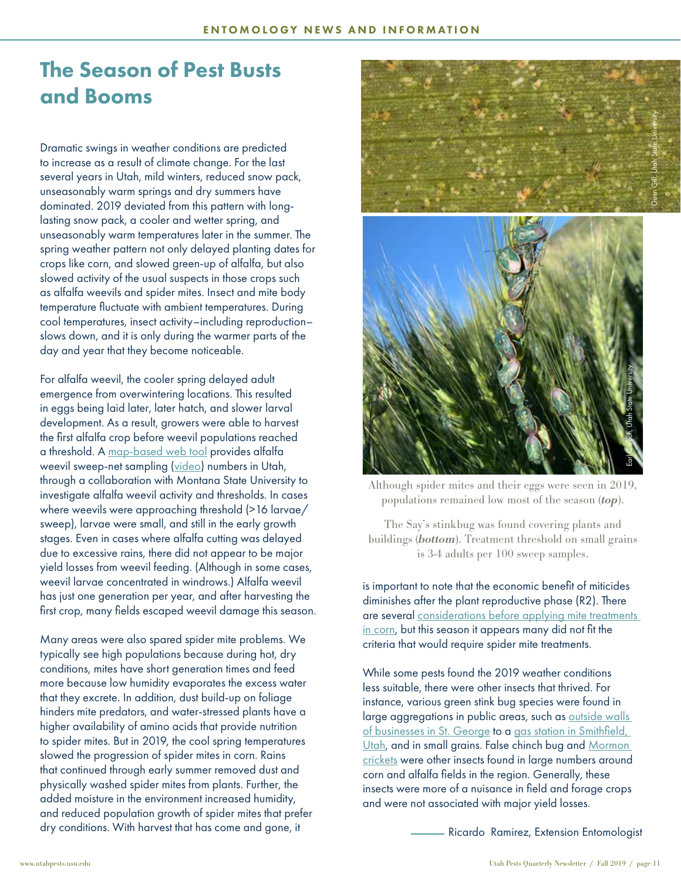### The Season of Pest Busts and Booms

Dramatic swings in weather conditions are predicted to increase as a result of climate change. For the last several years in Utah, mild winters, reduced snow pack, unseasonably warm springs and dry summers have dominated. 2019 deviated from this pattern with longlasting snow pack, a cooler and wetter spring, and unseasonably warm temperatures later in the summer. The spring weather pattern not only delayed planting dates for crops like corn, and slowed green-up of alfalfa, but also slowed activity of the usual suspects in those crops such as alfalfa weevils and spider mites. Insect and mite body temperature fluctuate with ambient temperatures. During cool temperatures, insect activity–including reproduction– slows down, and it is only during the warmer parts of the day and year that they become noticeable.

For alfalfa weevil, the cooler spring delayed adult emergence from overwintering locations. This resulted in eggs being laid later, later hatch, and slower larval development. As a result, growers were able to harvest the first alfalfa crop before weevil populations reached a threshold. A [map-based web tool](https://pestweb.montana.edu/Postica/Home/Index) provides alfalfa weevil sweep-net sampling ([video\)](https://www.youtube.com/watch?time_continue=2&v=hD6VxAQD96k) numbers in Utah, through a collaboration with Montana State University to investigate alfalfa weevil activity and thresholds. In cases where weevils were approaching threshold (>16 larvae/ sweep), larvae were small, and still in the early growth stages. Even in cases where alfalfa cutting was delayed due to excessive rains, there did not appear to be major yield losses from weevil feeding. (Although in some cases, weevil larvae concentrated in windrows.) Alfalfa weevil has just one generation per year, and after harvesting the first crop, many fields escaped weevil damage this season.

Many areas were also spared spider mite problems. We typically see high populations because during hot, dry conditions, mites have short generation times and feed more because low humidity evaporates the excess water that they excrete. In addition, dust build-up on foliage hinders mite predators, and water-stressed plants have a higher availability of amino acids that provide nutrition to spider mites. But in 2019, the cool spring temperatures slowed the progression of spider mites in corn. Rains that continued through early summer removed dust and physically washed spider mites from plants. Further, the added moisture in the environment increased humidity, and reduced population growth of spider mites that prefer dry conditions. With harvest that has come and gone, it



Although spider mites and their eggs were seen in 2019, populations remained low most of the season (top).

The Say's stinkbug was found covering plants and buildings (bottom). Treatment threshold on small grains is 3-4 adults per 100 sweep samples.

is important to note that the economic benefit of miticides diminishes after the plant reproductive phase (R2). There are several considerations before applying mite treatments [in corn](https://digitalcommons.usu.edu/cgi/viewcontent.cgi?referer=&httpsredir=1&article=1782&context=extension_curall), but this season it appears many did not fit the criteria that would require spider mite treatments.

While some pests found the 2019 weather conditions less suitable, there were other insects that thrived. For instance, various green stink bug species were found in large aggregations in public areas, such as outside walls [of businesses in St. George](https://www.stgeorgeutah.com/news/archive/2019/07/29/bugged-by-bugs-southern-utah-residents-getting-swarmed-by-insects/#.XWafCihKiUk) to a [gas station in Smithfield,](https://www.hjnews.com/news/local/stink-bug-swarms-spotted-in-smithfield/article_d2cf5afd-ea4c-5dad-82cf-f11aa60c2f42.html)  [Utah,](https://www.hjnews.com/news/local/stink-bug-swarms-spotted-in-smithfield/article_d2cf5afd-ea4c-5dad-82cf-f11aa60c2f42.html) and in small grains. False chinch bug and Mormon [crickets](https://www.upr.org/post/reports-say-mormon-crickets-are-rise-its-hard-say-if-its-actually-worrisome-trend) were other insects found in large numbers around corn and alfalfa fields in the region. Generally, these insects were more of a nuisance in field and forage crops and were not associated with major yield losses.

Ricardo Ramirez, Extension Entomologist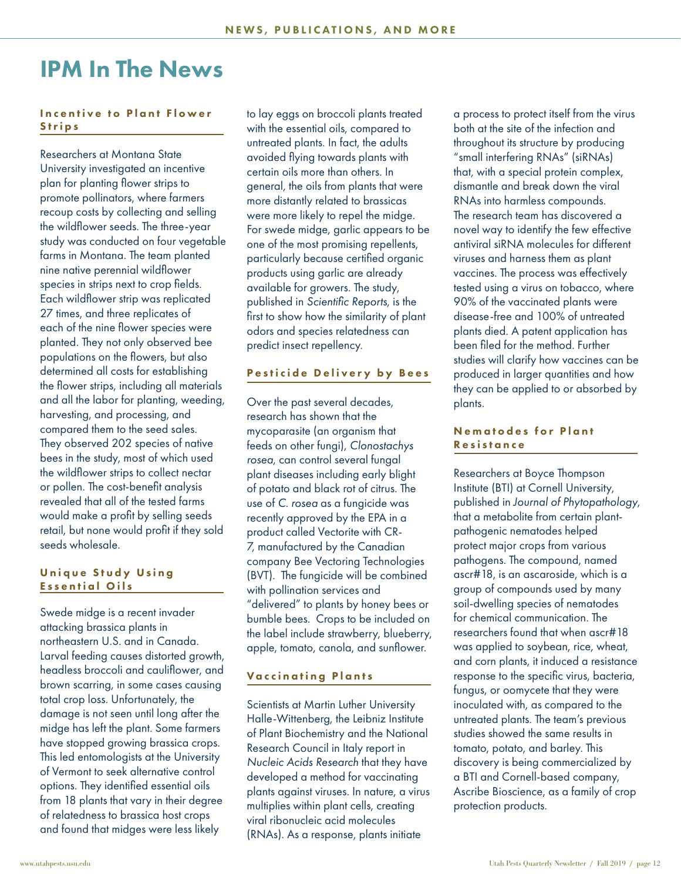### IPM In The News

#### Incentive to Plant Flower **Strips**

Researchers at Montana State University investigated an incentive plan for planting flower strips to promote pollinators, where farmers recoup costs by collecting and selling the wildflower seeds. The three-year study was conducted on four vegetable farms in Montana. The team planted nine native perennial wildflower species in strips next to crop fields. Each wildflower strip was replicated 27 times, and three replicates of each of the nine flower species were planted. They not only observed bee populations on the flowers, but also determined all costs for establishing the flower strips, including all materials and all the labor for planting, weeding, harvesting, and processing, and compared them to the seed sales. They observed 202 species of native bees in the study, most of which used the wildflower strips to collect nectar or pollen. The cost-benefit analysis revealed that all of the tested farms would make a profit by selling seeds retail, but none would profit if they sold seeds wholesale.

#### Unique Study Using Essential Oils

Swede midge is a recent invader attacking brassica plants in northeastern U.S. and in Canada. Larval feeding causes distorted growth, headless broccoli and cauliflower, and brown scarring, in some cases causing total crop loss. Unfortunately, the damage is not seen until long after the midge has left the plant. Some farmers have stopped growing brassica crops. This led entomologists at the University of Vermont to seek alternative control options. They identified essential oils from 18 plants that vary in their degree of relatedness to brassica host crops and found that midges were less likely

to lay eggs on broccoli plants treated with the essential oils, compared to untreated plants. In fact, the adults avoided flying towards plants with certain oils more than others. In general, the oils from plants that were more distantly related to brassicas were more likely to repel the midge. For swede midge, garlic appears to be one of the most promising repellents, particularly because certified organic products using garlic are already available for growers. The study, published in *Scientific Reports*, is the first to show how the similarity of plant odors and species relatedness can predict insect repellency.

#### Pesticide Delivery by Bees

Over the past several decades, research has shown that the mycoparasite (an organism that feeds on other fungi), *Clonostachys rosea*, can control several fungal plant diseases including early blight of potato and black rot of citrus. The use of *C. rosea* as a fungicide was recently approved by the EPA in a product called Vectorite with CR-7, manufactured by the Canadian company Bee Vectoring Technologies (BVT). The fungicide will be combined with pollination services and "delivered" to plants by honey bees or bumble bees. Crops to be included on the label include strawberry, blueberry, apple, tomato, canola, and sunflower.

#### Vaccinating Plants

Scientists at Martin Luther University Halle-Wittenberg, the Leibniz Institute of Plant Biochemistry and the National Research Council in Italy report in *Nucleic Acids Research* that they have developed a method for vaccinating plants against viruses. In nature, a virus multiplies within plant cells, creating viral ribonucleic acid molecules (RNAs). As a response, plants initiate

a process to protect itself from the virus both at the site of the infection and throughout its structure by producing "small interfering RNAs" (siRNAs) that, with a special protein complex, dismantle and break down the viral RNAs into harmless compounds. The research team has discovered a novel way to identify the few effective antiviral siRNA molecules for different viruses and harness them as plant vaccines. The process was effectively tested using a virus on tobacco, where 90% of the vaccinated plants were disease-free and 100% of untreated plants died. A patent application has been filed for the method. Further studies will clarify how vaccines can be produced in larger quantities and how they can be applied to or absorbed by plants.

#### Nematodes for Plant Resistance

Researchers at Boyce Thompson Institute (BTI) at Cornell University, published in *Journal of Phytopathology*, that a metabolite from certain plantpathogenic nematodes helped protect major crops from various pathogens. The compound, named ascr#18, is an ascaroside, which is a group of compounds used by many soil-dwelling species of nematodes for chemical communication. The researchers found that when ascr#18 was applied to soybean, rice, wheat, and corn plants, it induced a resistance response to the specific virus, bacteria, fungus, or oomycete that they were inoculated with, as compared to the untreated plants. The team's previous studies showed the same results in tomato, potato, and barley. This discovery is being commercialized by a BTI and Cornell-based company, Ascribe Bioscience, as a family of crop protection products.